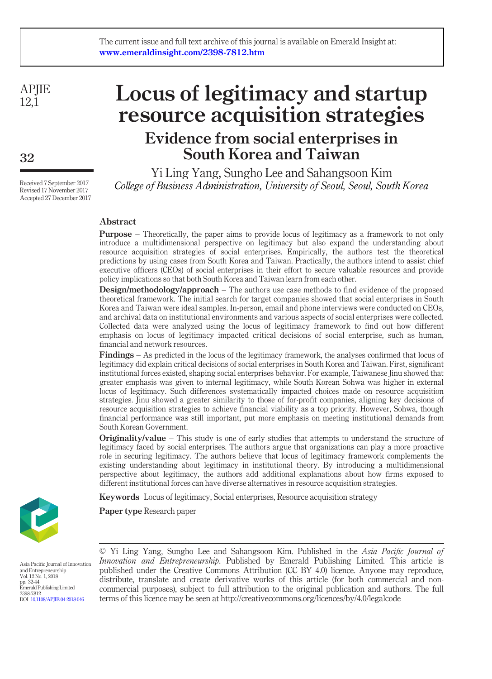**APJIE** 12,1

32

Received 7 September 2017 Revised 17 November 2017 Accepted 27 December 2017

# Locus of legitimacy and startup resource acquisition strategies Evidence from social enterprises in

# South Korea and Taiwan

Yi Ling Yang, Sungho Lee and Sahangsoon Kim College of Business Administration, University of Seoul, Seoul, South Korea

# Abstract

Purpose – Theoretically, the paper aims to provide locus of legitimacy as a framework to not only introduce a multidimensional perspective on legitimacy but also expand the understanding about resource acquisition strategies of social enterprises. Empirically, the authors test the theoretical predictions by using cases from South Korea and Taiwan. Practically, the authors intend to assist chief executive officers (CEOs) of social enterprises in their effort to secure valuable resources and provide policy implications so that both South Korea and Taiwan learn from each other.

Design/methodology/approach – The authors use case methods to find evidence of the proposed theoretical framework. The initial search for target companies showed that social enterprises in South Korea and Taiwan were ideal samples. In-person, email and phone interviews were conducted on CEOs, and archival data on institutional environments and various aspects of social enterprises were collected. Collected data were analyzed using the locus of legitimacy framework to find out how different emphasis on locus of legitimacy impacted critical decisions of social enterprise, such as human, financial and network resources.

Findings – As predicted in the locus of the legitimacy framework, the analyses confirmed that locus of legitimacy did explain critical decisions of social enterprises in South Korea and Taiwan. First, significant institutional forces existed, shaping social enterprises behavior. For example, Taiwanese Jinu showed that greater emphasis was given to internal legitimacy, while South Korean Sohwa was higher in external locus of legitimacy. Such differences systematically impacted choices made on resource acquisition strategies. Jinu showed a greater similarity to those of for-profit companies, aligning key decisions of resource acquisition strategies to achieve financial viability as a top priority. However, Sohwa, though financial performance was still important, put more emphasis on meeting institutional demands from South Korean Government.

**Originality/value** – This study is one of early studies that attempts to understand the structure of legitimacy faced by social enterprises. The authors argue that organizations can play a more proactive role in securing legitimacy. The authors believe that locus of legitimacy framework complements the existing understanding about legitimacy in institutional theory. By introducing a multidimensional perspective about legitimacy, the authors add additional explanations about how firms exposed to different institutional forces can have diverse alternatives in resource acquisition strategies.

Keywords Locus of legitimacy, Social enterprises, Resource acquisition strategy

Paper type Research paper

Asia Pacific Journal of Innovation and Entrepreneurship Vol. 12 No. 1, 2018 pp. 32-44 Emerald Publishing Limited 2398-7812 DOI [10.1108/APJIE-04-2018-046](http://dx.doi.org/10.1108/APJIE-04-2018-046)

© Yi Ling Yang, Sungho Lee and Sahangsoon Kim. Published in the Asia Pacific Journal of Innovation and Entrepreneurship. Published by Emerald Publishing Limited. This article is published under the Creative Commons Attribution (CC BY 4.0) licence. Anyone may reproduce, distribute, translate and create derivative works of this article (for both commercial and noncommercial purposes), subject to full attribution to the original publication and authors. The full terms of this licence may be seen at http://creativecommons.org/licences/by/4.0/legalcode

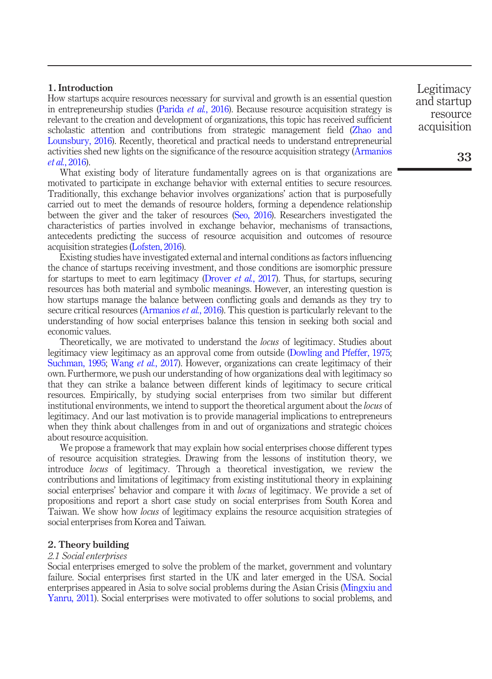# 1. Introduction

How startups acquire resources necessary for survival and growth is an essential question in entrepreneurship studies ([Parida](#page-11-0) et al., 2016). Because resource acquisition strategy is relevant to the creation and development of organizations, this topic has received sufficient scholastic attention and contributions from strategic management field [\(Zhao and](#page-12-0) [Lounsbury, 2016](#page-12-0)). Recently, theoretical and practical needs to understand entrepreneurial activities shed new lights on the significance of the resource acquisition strategy [\(Armanios](#page-11-1) et al.[, 2016](#page-11-1)).

What existing body of literature fundamentally agrees on is that organizations are motivated to participate in exchange behavior with external entities to secure resources. Traditionally, this exchange behavior involves organizations' action that is purposefully carried out to meet the demands of resource holders, forming a dependence relationship between the giver and the taker of resources [\(Seo, 2016](#page-12-1)). Researchers investigated the characteristics of parties involved in exchange behavior, mechanisms of transactions, antecedents predicting the success of resource acquisition and outcomes of resource acquisition strategies [\(Lofsten, 2016](#page-11-2)).

Existing studies have investigated external and internal conditions as factors influencing the chance of startups receiving investment, and those conditions are isomorphic pressure for startups to meet to earn legitimacy [\(Drover](#page-11-3) *et al.*, 2017). Thus, for startups, securing resources has both material and symbolic meanings. However, an interesting question is how startups manage the balance between conflicting goals and demands as they try to secure critical resources ([Armanios](#page-11-1) *et al.*, 2016). This question is particularly relevant to the understanding of how social enterprises balance this tension in seeking both social and economic values.

Theoretically, we are motivated to understand the locus of legitimacy. Studies about legitimacy view legitimacy as an approval come from outside ([Dowling and Pfeffer, 1975](#page-11-4); [Suchman, 1995](#page-12-2); Wang et al.[, 2017\)](#page-12-3). However, organizations can create legitimacy of their own. Furthermore, we push our understanding of how organizations deal with legitimacy so that they can strike a balance between different kinds of legitimacy to secure critical resources. Empirically, by studying social enterprises from two similar but different institutional environments, we intend to support the theoretical argument about the locus of legitimacy. And our last motivation is to provide managerial implications to entrepreneurs when they think about challenges from in and out of organizations and strategic choices about resource acquisition.

We propose a framework that may explain how social enterprises choose different types of resource acquisition strategies. Drawing from the lessons of institution theory, we introduce locus of legitimacy. Through a theoretical investigation, we review the contributions and limitations of legitimacy from existing institutional theory in explaining social enterprises' behavior and compare it with *locus* of legitimacy. We provide a set of propositions and report a short case study on social enterprises from South Korea and Taiwan. We show how locus of legitimacy explains the resource acquisition strategies of social enterprises from Korea and Taiwan.

#### 2. Theory building

#### 2.1 Social enterprises

Social enterprises emerged to solve the problem of the market, government and voluntary failure. Social enterprises first started in the UK and later emerged in the USA. Social enterprises appeared in Asia to solve social problems during the Asian Crisis [\(Mingxiu and](#page-11-5) [Yanru, 2011\)](#page-11-5). Social enterprises were motivated to offer solutions to social problems, and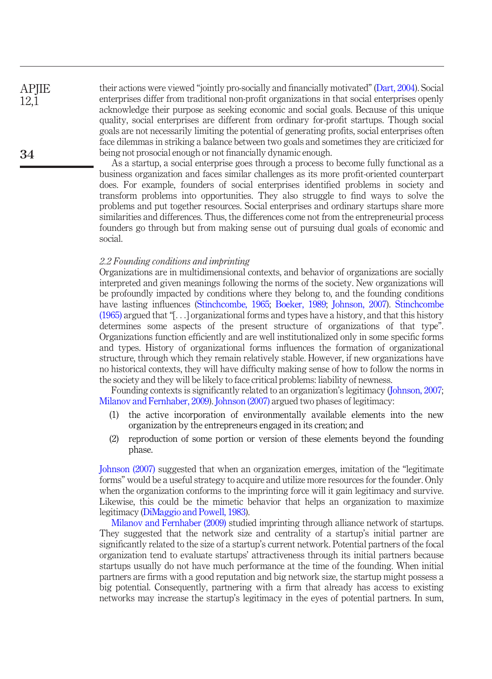their actions were viewed "jointly pro-socially and financially motivated" ([Dart, 2004](#page-11-6)). Social enterprises differ from traditional non-profit organizations in that social enterprises openly acknowledge their purpose as seeking economic and social goals. Because of this unique quality, social enterprises are different from ordinary for-profit startups. Though social goals are not necessarily limiting the potential of generating profits, social enterprises often face dilemmas in striking a balance between two goals and sometimes they are criticized for being not prosocial enough or not financially dynamic enough.

As a startup, a social enterprise goes through a process to become fully functional as a business organization and faces similar challenges as its more profit-oriented counterpart does. For example, founders of social enterprises identified problems in society and transform problems into opportunities. They also struggle to find ways to solve the problems and put together resources. Social enterprises and ordinary startups share more similarities and differences. Thus, the differences come not from the entrepreneurial process founders go through but from making sense out of pursuing dual goals of economic and social.

#### 2.2 Founding conditions and imprinting

Organizations are in multidimensional contexts, and behavior of organizations are socially interpreted and given meanings following the norms of the society. New organizations will be profoundly impacted by conditions where they belong to, and the founding conditions have lasting influences ([Stinchcombe, 1965](#page-12-4); [Boeker, 1989;](#page-11-7) [Johnson, 2007\)](#page-11-8). [Stinchcombe](#page-12-4) [\(1965\)](#page-12-4) argued that "[...] organizational forms and types have a history, and that this history determines some aspects of the present structure of organizations of that type". Organizations function efficiently and are well institutionalized only in some specific forms and types. History of organizational forms influences the formation of organizational structure, through which they remain relatively stable. However, if new organizations have no historical contexts, they will have difficulty making sense of how to follow the norms in the society and they will be likely to face critical problems: liability of newness.

Founding contexts is significantly related to an organization's legitimacy [\(Johnson, 2007;](#page-11-8) [Milanov and Fernhaber, 2009\)](#page-11-9). [Johnson \(2007\)](#page-11-8) argued two phases of legitimacy:

- (1) the active incorporation of environmentally available elements into the new organization by the entrepreneurs engaged in its creation; and
- (2) reproduction of some portion or version of these elements beyond the founding phase.

[Johnson \(2007\)](#page-11-8) suggested that when an organization emerges, imitation of the "legitimate forms" would be a useful strategy to acquire and utilize more resources for the founder. Only when the organization conforms to the imprinting force will it gain legitimacy and survive. Likewise, this could be the mimetic behavior that helps an organization to maximize legitimacy ([DiMaggio and Powell, 1983](#page-11-10)).

[Milanov and Fernhaber \(2009\)](#page-11-9) studied imprinting through alliance network of startups. They suggested that the network size and centrality of a startup's initial partner are significantly related to the size of a startup's current network. Potential partners of the focal organization tend to evaluate startups' attractiveness through its initial partners because startups usually do not have much performance at the time of the founding. When initial partners are firms with a good reputation and big network size, the startup might possess a big potential. Consequently, partnering with a firm that already has access to existing networks may increase the startup's legitimacy in the eyes of potential partners. In sum,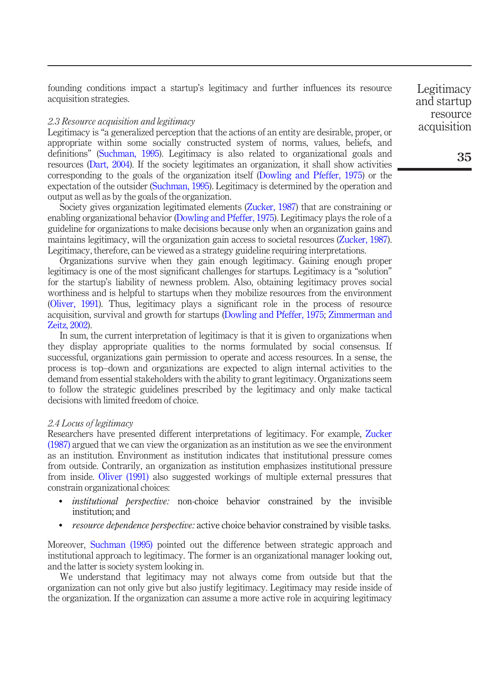founding conditions impact a startup's legitimacy and further influences its resource acquisition strategies.

#### 2.3 Resource acquisition and legitimacy

Legitimacy is "a generalized perception that the actions of an entity are desirable, proper, or appropriate within some socially constructed system of norms, values, beliefs, and definitions" [\(Suchman, 1995\)](#page-12-2). Legitimacy is also related to organizational goals and resources ([Dart, 2004](#page-11-6)). If the society legitimates an organization, it shall show activities corresponding to the goals of the organization itself [\(Dowling and Pfeffer, 1975](#page-11-4)) or the expectation of the outsider ([Suchman, 1995\)](#page-12-2). Legitimacy is determined by the operation and output as well as by the goals of the organization.

Society gives organization legitimated elements ([Zucker, 1987\)](#page-12-5) that are constraining or enabling organizational behavior [\(Dowling and Pfeffer, 1975](#page-11-4)). Legitimacy plays the role of a guideline for organizations to make decisions because only when an organization gains and maintains legitimacy, will the organization gain access to societal resources [\(Zucker, 1987\)](#page-12-5). Legitimacy, therefore, can be viewed as a strategy guideline requiring interpretations.

Organizations survive when they gain enough legitimacy. Gaining enough proper legitimacy is one of the most significant challenges for startups. Legitimacy is a "solution" for the startup's liability of newness problem. Also, obtaining legitimacy proves social worthiness and is helpful to startups when they mobilize resources from the environment [\(Oliver, 1991\)](#page-11-11). Thus, legitimacy plays a significant role in the process of resource acquisition, survival and growth for startups [\(Dowling and Pfeffer, 1975;](#page-11-4) [Zimmerman and](#page-12-6) [Zeitz, 2002\)](#page-12-6).

In sum, the current interpretation of legitimacy is that it is given to organizations when they display appropriate qualities to the norms formulated by social consensus. If successful, organizations gain permission to operate and access resources. In a sense, the process is top–down and organizations are expected to align internal activities to the demand from essential stakeholders with the ability to grant legitimacy. Organizations seem to follow the strategic guidelines prescribed by the legitimacy and only make tactical decisions with limited freedom of choice.

#### 2.4 Locus of legitimacy

Researchers have presented different interpretations of legitimacy. For example, [Zucker](#page-12-5) [\(1987\)](#page-12-5) argued that we can view the organization as an institution as we see the environment as an institution. Environment as institution indicates that institutional pressure comes from outside. Contrarily, an organization as institution emphasizes institutional pressure from inside. [Oliver \(1991\)](#page-11-11) also suggested workings of multiple external pressures that constrain organizational choices:

- institutional perspective: non-choice behavior constrained by the invisible institution; and
- resource dependence perspective: active choice behavior constrained by visible tasks.

Moreover, [Suchman \(1995\)](#page-12-2) pointed out the difference between strategic approach and institutional approach to legitimacy. The former is an organizational manager looking out, and the latter is society system looking in.

We understand that legitimacy may not always come from outside but that the organization can not only give but also justify legitimacy. Legitimacy may reside inside of the organization. If the organization can assume a more active role in acquiring legitimacy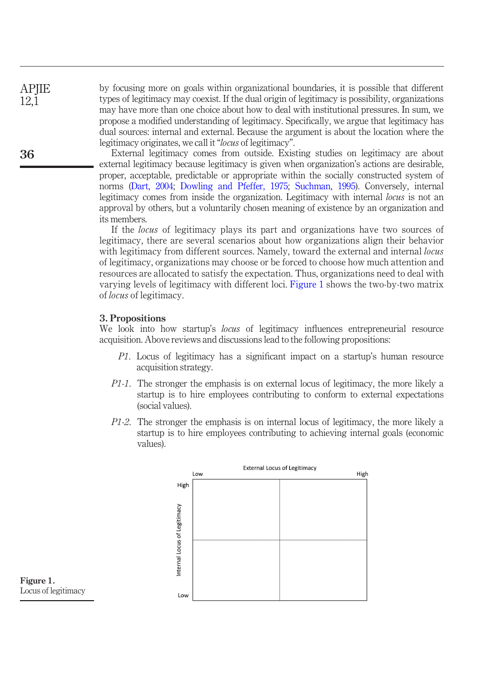by focusing more on goals within organizational boundaries, it is possible that different types of legitimacy may coexist. If the dual origin of legitimacy is possibility, organizations may have more than one choice about how to deal with institutional pressures. In sum, we propose a modified understanding of legitimacy. Specifically, we argue that legitimacy has dual sources: internal and external. Because the argument is about the location where the legitimacy originates, we call it "*locus* of legitimacy".

External legitimacy comes from outside. Existing studies on legitimacy are about external legitimacy because legitimacy is given when organization's actions are desirable, proper, acceptable, predictable or appropriate within the socially constructed system of norms ([Dart, 2004;](#page-11-6) [Dowling and Pfeffer, 1975;](#page-11-4) [Suchman, 1995](#page-12-2)). Conversely, internal legitimacy comes from inside the organization. Legitimacy with internal locus is not an approval by others, but a voluntarily chosen meaning of existence by an organization and its members.

If the locus of legitimacy plays its part and organizations have two sources of legitimacy, there are several scenarios about how organizations align their behavior with legitimacy from different sources. Namely, toward the external and internal *locus* of legitimacy, organizations may choose or be forced to choose how much attention and resources are allocated to satisfy the expectation. Thus, organizations need to deal with varying levels of legitimacy with different loci. [Figure 1](#page-4-0) shows the two-by-two matrix of locus of legitimacy.

### 3. Propositions

We look into how startup's *locus* of legitimacy influences entrepreneurial resource acquisition. Above reviews and discussions lead to the following propositions:

- P1. Locus of legitimacy has a significant impact on a startup's human resource acquisition strategy.
- P1-1. The stronger the emphasis is on external locus of legitimacy, the more likely a startup is to hire employees contributing to conform to external expectations (social values).
- $P1-2$ . The stronger the emphasis is on internal locus of legitimacy, the more likely a startup is to hire employees contributing to achieving internal goals (economic values).



<span id="page-4-0"></span>Figure 1. Locus of legitimacy

36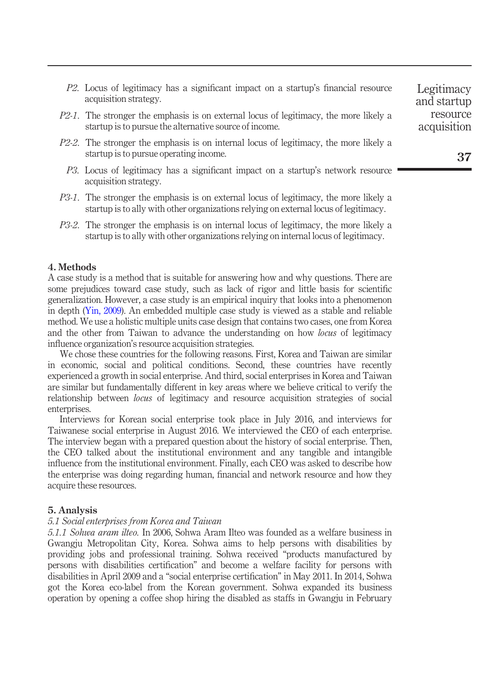- P2. Locus of legitimacy has a significant impact on a startup's financial resource acquisition strategy.
- P2-1. The stronger the emphasis is on external locus of legitimacy, the more likely a startup is to pursue the alternative source of income.
- P2-2. The stronger the emphasis is on internal locus of legitimacy, the more likely a startup is to pursue operating income.
	- P3. Locus of legitimacy has a significant impact on a startup's network resource acquisition strategy.
- P3-1. The stronger the emphasis is on external locus of legitimacy, the more likely a startup is to ally with other organizations relying on external locus of legitimacy.
- P3-2. The stronger the emphasis is on internal locus of legitimacy, the more likely a startup is to ally with other organizations relying on internal locus of legitimacy.

### 4. Methods

A case study is a method that is suitable for answering how and why questions. There are some prejudices toward case study, such as lack of rigor and little basis for scientific generalization. However, a case study is an empirical inquiry that looks into a phenomenon in depth [\(Yin, 2009\)](#page-12-7). An embedded multiple case study is viewed as a stable and reliable method. We use a holistic multiple units case design that contains two cases, one from Korea and the other from Taiwan to advance the understanding on how *locus* of legitimacy influence organization's resource acquisition strategies.

We chose these countries for the following reasons. First, Korea and Taiwan are similar in economic, social and political conditions. Second, these countries have recently experienced a growth in social enterprise. And third, social enterprises in Korea and Taiwan are similar but fundamentally different in key areas where we believe critical to verify the relationship between locus of legitimacy and resource acquisition strategies of social enterprises.

Interviews for Korean social enterprise took place in July 2016, and interviews for Taiwanese social enterprise in August 2016. We interviewed the CEO of each enterprise. The interview began with a prepared question about the history of social enterprise. Then, the CEO talked about the institutional environment and any tangible and intangible influence from the institutional environment. Finally, each CEO was asked to describe how the enterprise was doing regarding human, financial and network resource and how they acquire these resources.

## 5. Analysis

# 5.1 Social enterprises from Korea and Taiwan

5.1.1 Sohwa aram ilteo. In 2006, Sohwa Aram Ilteo was founded as a welfare business in Gwangju Metropolitan City, Korea. Sohwa aims to help persons with disabilities by providing jobs and professional training. Sohwa received "products manufactured by persons with disabilities certification" and become a welfare facility for persons with disabilities in April 2009 and a "social enterprise certification" in May 2011. In 2014, Sohwa got the Korea eco-label from the Korean government. Sohwa expanded its business operation by opening a coffee shop hiring the disabled as staffs in Gwangju in February Legitimacy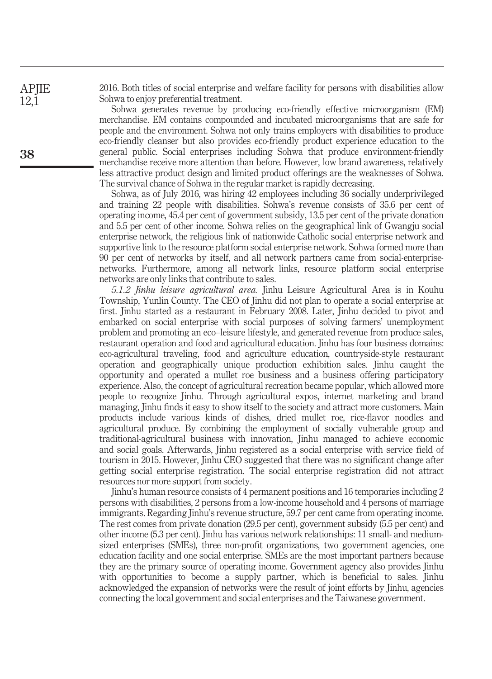2016. Both titles of social enterprise and welfare facility for persons with disabilities allow Sohwa to enjoy preferential treatment.

Sohwa generates revenue by producing eco-friendly effective microorganism (EM) merchandise. EM contains compounded and incubated microorganisms that are safe for people and the environment. Sohwa not only trains employers with disabilities to produce eco-friendly cleanser but also provides eco-friendly product experience education to the general public. Social enterprises including Sohwa that produce environment-friendly merchandise receive more attention than before. However, low brand awareness, relatively less attractive product design and limited product offerings are the weaknesses of Sohwa. The survival chance of Sohwa in the regular market is rapidly decreasing.

Sohwa, as of July 2016, was hiring 42 employees including 36 socially underprivileged and training 22 people with disabilities. Sohwa's revenue consists of 35.6 per cent of operating income, 45.4 per cent of government subsidy, 13.5 per cent of the private donation and 5.5 per cent of other income. Sohwa relies on the geographical link of Gwangju social enterprise network, the religious link of nationwide Catholic social enterprise network and supportive link to the resource platform social enterprise network. Sohwa formed more than 90 per cent of networks by itself, and all network partners came from social-enterprisenetworks. Furthermore, among all network links, resource platform social enterprise networks are only links that contribute to sales.

5.1.2 Jinhu leisure agricultural area. Jinhu Leisure Agricultural Area is in Kouhu Township, Yunlin County. The CEO of Jinhu did not plan to operate a social enterprise at first. Jinhu started as a restaurant in February 2008. Later, Jinhu decided to pivot and embarked on social enterprise with social purposes of solving farmers' unemployment problem and promoting an eco–leisure lifestyle, and generated revenue from produce sales, restaurant operation and food and agricultural education. Jinhu has four business domains: eco-agricultural traveling, food and agriculture education, countryside-style restaurant operation and geographically unique production exhibition sales. Jinhu caught the opportunity and operated a mullet roe business and a business offering participatory experience. Also, the concept of agricultural recreation became popular, which allowed more people to recognize Jinhu. Through agricultural expos, internet marketing and brand managing, Jinhu finds it easy to show itself to the society and attract more customers. Main products include various kinds of dishes, dried mullet roe, rice-flavor noodles and agricultural produce. By combining the employment of socially vulnerable group and traditional-agricultural business with innovation, Jinhu managed to achieve economic and social goals. Afterwards, Jinhu registered as a social enterprise with service field of tourism in 2015. However, Jinhu CEO suggested that there was no significant change after getting social enterprise registration. The social enterprise registration did not attract resources nor more support from society.

Jinhu's human resource consists of 4 permanent positions and 16 temporaries including 2 persons with disabilities, 2 persons from a low-income household and 4 persons of marriage immigrants. Regarding Jinhu's revenue structure, 59.7 per cent came from operating income. The rest comes from private donation (29.5 per cent), government subsidy (5.5 per cent) and other income (5.3 per cent). Jinhu has various network relationships: 11 small- and mediumsized enterprises (SMEs), three non-profit organizations, two government agencies, one education facility and one social enterprise. SMEs are the most important partners because they are the primary source of operating income. Government agency also provides Jinhu with opportunities to become a supply partner, which is beneficial to sales. Jinhu acknowledged the expansion of networks were the result of joint efforts by Jinhu, agencies connecting the local government and social enterprises and the Taiwanese government.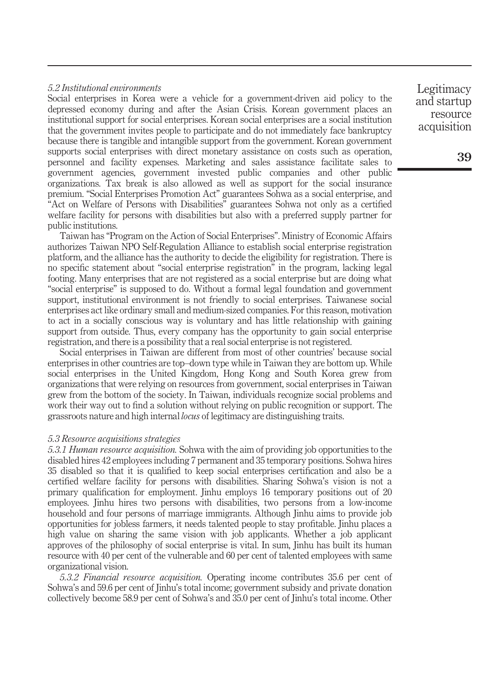#### 5.2 Institutional environments

Social enterprises in Korea were a vehicle for a government-driven aid policy to the depressed economy during and after the Asian Crisis. Korean government places an institutional support for social enterprises. Korean social enterprises are a social institution that the government invites people to participate and do not immediately face bankruptcy because there is tangible and intangible support from the government. Korean government supports social enterprises with direct monetary assistance on costs such as operation, personnel and facility expenses. Marketing and sales assistance facilitate sales to government agencies, government invested public companies and other public organizations. Tax break is also allowed as well as support for the social insurance premium. "Social Enterprises Promotion Act" guarantees Sohwa as a social enterprise, and "Act on Welfare of Persons with Disabilities" guarantees Sohwa not only as a certified welfare facility for persons with disabilities but also with a preferred supply partner for public institutions.

Taiwan has "Program on the Action of Social Enterprises". Ministry of Economic Affairs authorizes Taiwan NPO Self-Regulation Alliance to establish social enterprise registration platform, and the alliance has the authority to decide the eligibility for registration. There is no specific statement about "social enterprise registration" in the program, lacking legal footing. Many enterprises that are not registered as a social enterprise but are doing what "social enterprise" is supposed to do. Without a formal legal foundation and government support, institutional environment is not friendly to social enterprises. Taiwanese social enterprises act like ordinary small and medium-sized companies. For this reason, motivation to act in a socially conscious way is voluntary and has little relationship with gaining support from outside. Thus, every company has the opportunity to gain social enterprise registration, and there is a possibility that a real social enterprise is not registered.

Social enterprises in Taiwan are different from most of other countries' because social enterprises in other countries are top–down type while in Taiwan they are bottom up. While social enterprises in the United Kingdom, Hong Kong and South Korea grew from organizations that were relying on resources from government, social enterprises in Taiwan grew from the bottom of the society. In Taiwan, individuals recognize social problems and work their way out to find a solution without relying on public recognition or support. The grassroots nature and high internal locus of legitimacy are distinguishing traits.

#### 5.3 Resource acquisitions strategies

5.3.1 Human resource acquisition. Sohwa with the aim of providing job opportunities to the disabled hires 42 employees including 7 permanent and 35 temporary positions. Sohwa hires 35 disabled so that it is qualified to keep social enterprises certification and also be a certified welfare facility for persons with disabilities. Sharing Sohwa's vision is not a primary qualification for employment. Jinhu employs 16 temporary positions out of 20 employees. Jinhu hires two persons with disabilities, two persons from a low-income household and four persons of marriage immigrants. Although Jinhu aims to provide job opportunities for jobless farmers, it needs talented people to stay profitable. Jinhu places a high value on sharing the same vision with job applicants. Whether a job applicant approves of the philosophy of social enterprise is vital. In sum, Jinhu has built its human resource with 40 per cent of the vulnerable and 60 per cent of talented employees with same organizational vision.

5.3.2 Financial resource acquisition. Operating income contributes 35.6 per cent of Sohwa's and 59.6 per cent of Jinhu's total income; government subsidy and private donation collectively become 58.9 per cent of Sohwa's and 35.0 per cent of Jinhu's total income. Other **Legitimacy** and startup resource acquisition

39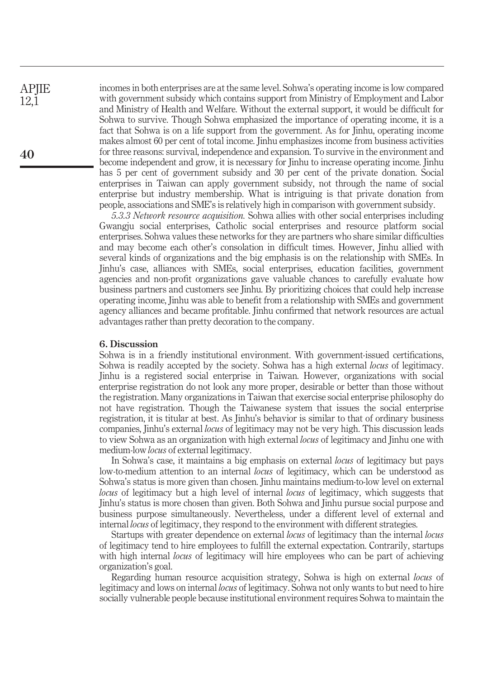incomes in both enterprises are at the same level. Sohwa's operating income is low compared with government subsidy which contains support from Ministry of Employment and Labor and Ministry of Health and Welfare. Without the external support, it would be difficult for Sohwa to survive. Though Sohwa emphasized the importance of operating income, it is a fact that Sohwa is on a life support from the government. As for Jinhu, operating income makes almost 60 per cent of total income. Jinhu emphasizes income from business activities for three reasons: survival, independence and expansion. To survive in the environment and become independent and grow, it is necessary for Jinhu to increase operating income. Jinhu has 5 per cent of government subsidy and 30 per cent of the private donation. Social enterprises in Taiwan can apply government subsidy, not through the name of social enterprise but industry membership. What is intriguing is that private donation from people, associations and SME's is relatively high in comparison with government subsidy.

5.3.3 Network resource acquisition. Sohwa allies with other social enterprises including Gwangju social enterprises, Catholic social enterprises and resource platform social enterprises. Sohwa values these networks for they are partners who share similar difficulties and may become each other's consolation in difficult times. However, Jinhu allied with several kinds of organizations and the big emphasis is on the relationship with SMEs. In Jinhu's case, alliances with SMEs, social enterprises, education facilities, government agencies and non-profit organizations gave valuable chances to carefully evaluate how business partners and customers see Jinhu. By prioritizing choices that could help increase operating income, Jinhu was able to benefit from a relationship with SMEs and government agency alliances and became profitable. Jinhu confirmed that network resources are actual advantages rather than pretty decoration to the company.

#### 6. Discussion

Sohwa is in a friendly institutional environment. With government-issued certifications, Sohwa is readily accepted by the society. Sohwa has a high external locus of legitimacy. Jinhu is a registered social enterprise in Taiwan. However, organizations with social enterprise registration do not look any more proper, desirable or better than those without the registration. Many organizations in Taiwan that exercise social enterprise philosophy do not have registration. Though the Taiwanese system that issues the social enterprise registration, it is titular at best. As Jinhu's behavior is similar to that of ordinary business companies, Jinhu's external *locus* of legitimacy may not be very high. This discussion leads to view Sohwa as an organization with high external *locus* of legitimacy and Jinhu one with medium-low locus of external legitimacy.

In Sohwa's case, it maintains a big emphasis on external *locus* of legitimacy but pays low-to-medium attention to an internal *locus* of legitimacy, which can be understood as Sohwa's status is more given than chosen. Jinhu maintains medium-to-low level on external locus of legitimacy but a high level of internal locus of legitimacy, which suggests that Jinhu's status is more chosen than given. Both Sohwa and Jinhu pursue social purpose and business purpose simultaneously. Nevertheless, under a different level of external and internal *locus* of legitimacy, they respond to the environment with different strategies.

Startups with greater dependence on external locus of legitimacy than the internal locus of legitimacy tend to hire employees to fulfill the external expectation. Contrarily, startups with high internal *locus* of legitimacy will hire employees who can be part of achieving organization's goal.

Regarding human resource acquisition strategy, Sohwa is high on external locus of legitimacy and lows on internal locus of legitimacy. Sohwa not only wants to but need to hire socially vulnerable people because institutional environment requires Sohwa to maintain the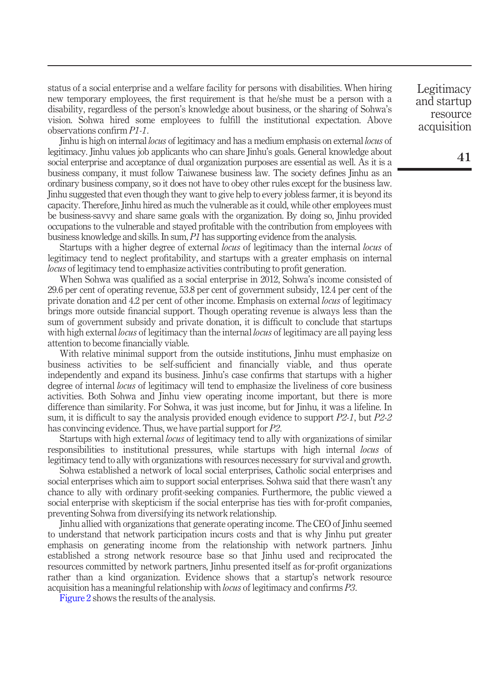status of a social enterprise and a welfare facility for persons with disabilities. When hiring new temporary employees, the first requirement is that he/she must be a person with a disability, regardless of the person's knowledge about business, or the sharing of Sohwa's vision. Sohwa hired some employees to fulfill the institutional expectation. Above observations confirm P1-1.

Jinhu is high on internal locus of legitimacy and has a medium emphasis on external locus of legitimacy. Jinhu values job applicants who can share Jinhu's goals. General knowledge about social enterprise and acceptance of dual organization purposes are essential as well. As it is a business company, it must follow Taiwanese business law. The society defines Jinhu as an ordinary business company, so it does not have to obey other rules except for the business law. Jinhu suggested that even though they want to give help to every jobless farmer, it is beyond its capacity. Therefore, Jinhu hired as much the vulnerable as it could, while other employees must be business-savvy and share same goals with the organization. By doing so, Jinhu provided occupations to the vulnerable and stayed profitable with the contribution from employees with business knowledge and skills. In sum, P1 has supporting evidence from the analysis.

Startups with a higher degree of external locus of legitimacy than the internal locus of legitimacy tend to neglect profitability, and startups with a greater emphasis on internal *locus* of legitimacy tend to emphasize activities contributing to profit generation.

When Sohwa was qualified as a social enterprise in 2012, Sohwa's income consisted of 29.6 per cent of operating revenue, 53.8 per cent of government subsidy, 12.4 per cent of the private donation and 4.2 per cent of other income. Emphasis on external locus of legitimacy brings more outside financial support. Though operating revenue is always less than the sum of government subsidy and private donation, it is difficult to conclude that startups with high external *locus* of legitimacy than the internal *locus* of legitimacy are all paying less attention to become financially viable.

With relative minimal support from the outside institutions, Jinhu must emphasize on business activities to be self-sufficient and financially viable, and thus operate independently and expand its business. Jinhu's case confirms that startups with a higher degree of internal *locus* of legitimacy will tend to emphasize the liveliness of core business activities. Both Sohwa and Jinhu view operating income important, but there is more difference than similarity. For Sohwa, it was just income, but for Jinhu, it was a lifeline. In sum, it is difficult to say the analysis provided enough evidence to support P2-1, but P2-2 has convincing evidence. Thus, we have partial support for P2.

Startups with high external locus of legitimacy tend to ally with organizations of similar responsibilities to institutional pressures, while startups with high internal locus of legitimacy tend to ally with organizations with resources necessary for survival and growth.

Sohwa established a network of local social enterprises, Catholic social enterprises and social enterprises which aim to support social enterprises. Sohwa said that there wasn't any chance to ally with ordinary profit-seeking companies. Furthermore, the public viewed a social enterprise with skepticism if the social enterprise has ties with for-profit companies, preventing Sohwa from diversifying its network relationship.

Jinhu allied with organizations that generate operating income. The CEO of Jinhu seemed to understand that network participation incurs costs and that is why Jinhu put greater emphasis on generating income from the relationship with network partners. Jinhu established a strong network resource base so that Jinhu used and reciprocated the resources committed by network partners, Jinhu presented itself as for-profit organizations rather than a kind organization. Evidence shows that a startup's network resource acquisition has a meaningful relationship with *locus* of legitimacy and confirms P3.

[Figure 2](#page-10-0) shows the results of the analysis.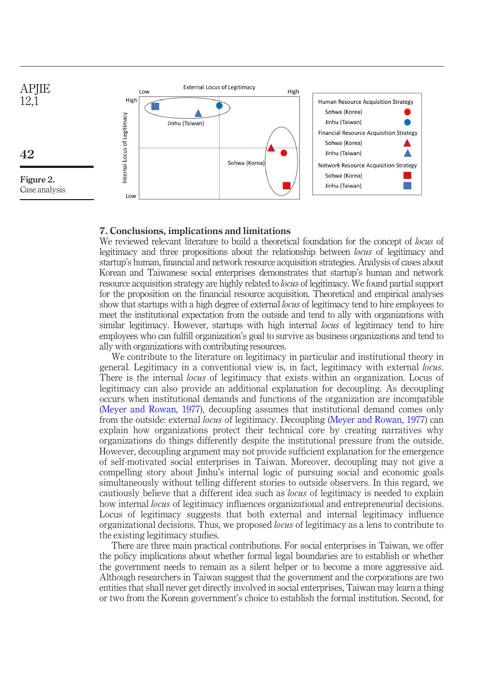

#### <span id="page-10-0"></span>7. Conclusions, implications and limitations

We reviewed relevant literature to build a theoretical foundation for the concept of locus of legitimacy and three propositions about the relationship between locus of legitimacy and startup's human, financial and network resource acquisition strategies. Analysis of cases about Korean and Taiwanese social enterprises demonstrates that startup's human and network resource acquisition strategy are highly related to locus of legitimacy. We found partial support for the proposition on the financial resource acquisition. Theoretical and empirical analyses show that startups with a high degree of external *locus* of legitimacy tend to hire employees to meet the institutional expectation from the outside and tend to ally with organizations with similar legitimacy. However, startups with high internal *locus* of legitimacy tend to hire employees who can fulfill organization's goal to survive as business organizations and tend to ally with organizations with contributing resources.

We contribute to the literature on legitimacy in particular and institutional theory in general. Legitimacy in a conventional view is, in fact, legitimacy with external locus. There is the internal *locus* of legitimacy that exists within an organization. Locus of legitimacy can also provide an additional explanation for decoupling. As decoupling occurs when institutional demands and functions of the organization are incompatible [\(Meyer and Rowan, 1977\)](#page-11-12), decoupling assumes that institutional demand comes only from the outside: external locus of legitimacy. Decoupling [\(Meyer and Rowan, 1977](#page-11-12)) can explain how organizations protect their technical core by creating narratives why organizations do things differently despite the institutional pressure from the outside. However, decoupling argument may not provide sufficient explanation for the emergence of self-motivated social enterprises in Taiwan. Moreover, decoupling may not give a compelling story about Jinhu's internal logic of pursuing social and economic goals simultaneously without telling different stories to outside observers. In this regard, we cautiously believe that a different idea such as locus of legitimacy is needed to explain how internal locus of legitimacy influences organizational and entrepreneurial decisions. Locus of legitimacy suggests that both external and internal legitimacy influence organizational decisions. Thus, we proposed locus of legitimacy as a lens to contribute to the existing legitimacy studies.

There are three main practical contributions. For social enterprises in Taiwan, we offer the policy implications about whether formal legal boundaries are to establish or whether the government needs to remain as a silent helper or to become a more aggressive aid. Although researchers in Taiwan suggest that the government and the corporations are two entities that shall never get directly involved in social enterprises, Taiwan may learn a thing or two from the Korean government's choice to establish the formal institution. Second, for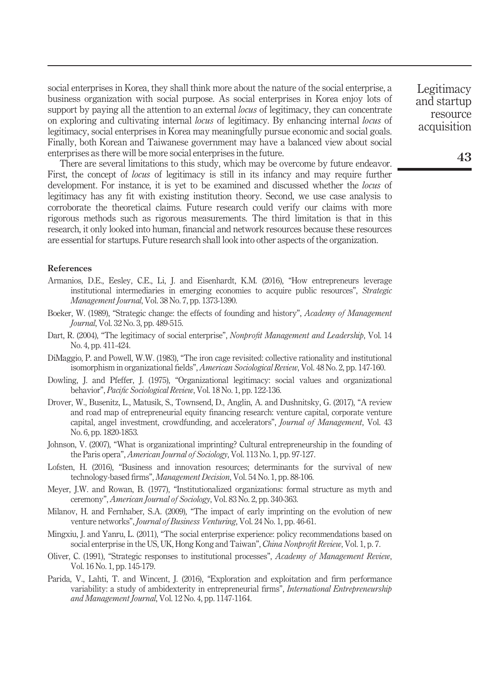social enterprises in Korea, they shall think more about the nature of the social enterprise, a business organization with social purpose. As social enterprises in Korea enjoy lots of support by paying all the attention to an external *locus* of legitimacy, they can concentrate on exploring and cultivating internal locus of legitimacy. By enhancing internal locus of legitimacy, social enterprises in Korea may meaningfully pursue economic and social goals. Finally, both Korean and Taiwanese government may have a balanced view about social enterprises as there will be more social enterprises in the future.

There are several limitations to this study, which may be overcome by future endeavor. First, the concept of *locus* of legitimacy is still in its infancy and may require further development. For instance, it is yet to be examined and discussed whether the *locus* of legitimacy has any fit with existing institution theory. Second, we use case analysis to corroborate the theoretical claims. Future research could verify our claims with more rigorous methods such as rigorous measurements. The third limitation is that in this research, it only looked into human, financial and network resources because these resources are essential for startups. Future research shall look into other aspects of the organization.

#### References

- <span id="page-11-1"></span>Armanios, D.E., Eesley, C.E., Li, J. and Eisenhardt, K.M. (2016), "How entrepreneurs leverage institutional intermediaries in emerging economies to acquire public resources", Strategic Management Journal, Vol. 38 No. 7, pp. 1373-1390.
- <span id="page-11-7"></span>Boeker, W. (1989), "Strategic change: the effects of founding and history", Academy of Management Journal, Vol. 32 No. 3, pp. 489-515.
- <span id="page-11-6"></span>Dart, R. (2004), "The legitimacy of social enterprise", Nonprofit Management and Leadership, Vol. 14 No. 4, pp. 411-424.
- <span id="page-11-10"></span>DiMaggio, P. and Powell, W.W. (1983), "The iron cage revisited: collective rationality and institutional isomorphism in organizational fields", American Sociological Review, Vol. 48 No. 2, pp. 147-160.
- <span id="page-11-4"></span>Dowling, J. and Pfeffer, J. (1975), "Organizational legitimacy: social values and organizational behavior", Pacific Sociological Review, Vol. 18 No. 1, pp. 122-136.
- <span id="page-11-3"></span>Drover, W., Busenitz, L., Matusik, S., Townsend, D., Anglin, A. and Dushnitsky, G. (2017), "A review and road map of entrepreneurial equity financing research: venture capital, corporate venture capital, angel investment, crowdfunding, and accelerators", Journal of Management, Vol. 43 No. 6, pp. 1820-1853.
- <span id="page-11-8"></span>Johnson, V. (2007), "What is organizational imprinting? Cultural entrepreneurship in the founding of the Paris opera", American Journal of Sociology, Vol. 113 No. 1, pp. 97-127.
- <span id="page-11-2"></span>Lofsten, H. (2016), "Business and innovation resources; determinants for the survival of new technology-based firms", Management Decision, Vol. 54 No. 1, pp. 88-106.
- <span id="page-11-12"></span>Meyer, J.W. and Rowan, B. (1977), "Institutionalized organizations: formal structure as myth and ceremony", American Journal of Sociology, Vol. 83 No. 2, pp. 340-363.
- <span id="page-11-9"></span>Milanov, H. and Fernhaber, S.A. (2009), "The impact of early imprinting on the evolution of new venture networks", Journal of Business Venturing, Vol. 24 No. 1, pp. 46-61.
- <span id="page-11-5"></span>Mingxiu, J. and Yanru, L. (2011), "The social enterprise experience: policy recommendations based on social enterprise in the US, UK, Hong Kong and Taiwan", China Nonprofit Review, Vol. 1, p. 7.
- <span id="page-11-11"></span>Oliver, C. (1991), "Strategic responses to institutional processes", Academy of Management Review, Vol. 16 No. 1, pp. 145-179.
- <span id="page-11-0"></span>Parida, V., Lahti, T. and Wincent, J. (2016), "Exploration and exploitation and firm performance variability: a study of ambidexterity in entrepreneurial firms", International Entrepreneurship and Management Journal, Vol. 12 No. 4, pp. 1147-1164.